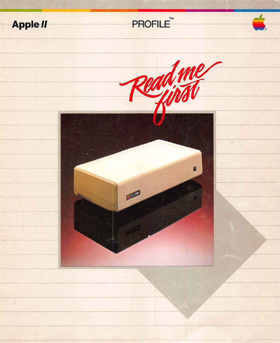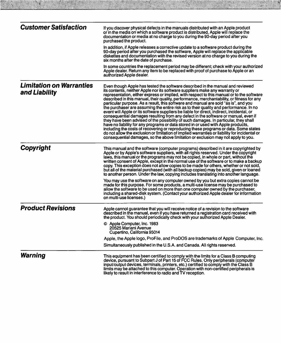| <b>Customer Satisfaction</b>                     | If you discover physical defects in the manuals distributed with an Apple product<br>or in the media on which a software product is distributed, Apple will replace the<br>documentation or media at no charge to you during the 90-day period after you<br>purchased the product.                                                                                                                                                                                                                                                                                                                                                                                                                                                                                                                                                                                                                                                                                                                                                                                                                                                                                                    |
|--------------------------------------------------|---------------------------------------------------------------------------------------------------------------------------------------------------------------------------------------------------------------------------------------------------------------------------------------------------------------------------------------------------------------------------------------------------------------------------------------------------------------------------------------------------------------------------------------------------------------------------------------------------------------------------------------------------------------------------------------------------------------------------------------------------------------------------------------------------------------------------------------------------------------------------------------------------------------------------------------------------------------------------------------------------------------------------------------------------------------------------------------------------------------------------------------------------------------------------------------|
|                                                  | In addition, if Apple releases a corrective update to a software product during the<br>90-day period after you purchased the software, Apple will replace the applicable<br>diskettes and documentation with the revised version at no charge to you during the<br>six months after the date of purchase.                                                                                                                                                                                                                                                                                                                                                                                                                                                                                                                                                                                                                                                                                                                                                                                                                                                                             |
|                                                  | In some countries the replacement period may be different; check with your authorized<br>Apple dealer. Return any item to be replaced with proof of purchase to Apple or an<br>authorized Apple dealer.                                                                                                                                                                                                                                                                                                                                                                                                                                                                                                                                                                                                                                                                                                                                                                                                                                                                                                                                                                               |
| <b>Limitation on Warranties</b><br>and Liability | Even though Apple has tested the software described in the manual and reviewed<br>its contents, neither Apple nor its software suppliers make any warranty or<br>representation, either express or implied, with respect to this manual or to the software<br>described in this manual, their quality, performance, merchantability, or fitness for any<br>particular purpose. As a result, this software and manual are sold "as is", and you<br>the purchaser are assuming the entire risk as to their quality and performance. In no<br>event will Apple or its software suppliers be liable for direct, indirect, incidental, or<br>consequential damages resulting from any defect in the software or manual, even if<br>they have been advised of the possibility of such damages. In particular, they shall<br>have no liability for any programs or data stored in or used with Apple products,<br>including the costs of recovering or reproducing these programs or data. Some states<br>do not allow the exclusion or limitation of implied warranties or liability for incidental or<br>consequential damages, so the above limitation or exclusion may not apply to you. |
| Copyright                                        | This manual and the software (computer programs) described in it are copyrighted by<br>Apple or by Apple's software suppliers, with all rights reserved. Under the copyright<br>laws, this manual or the programs may not be copied, in whole or part, without the<br>written consent of Apple, except in the normal use of the software or to make a backup<br>copy. This exception does not allow copies to be made for others, whether or not sold,<br>but all of the material purchased (with all backup copies) may be sold, given or loaned<br>to another person. Under the law, copying includes translating into another language.                                                                                                                                                                                                                                                                                                                                                                                                                                                                                                                                            |
|                                                  | You may use the software on any computer owned by you but extra copies cannot be<br>made for this purpose. For some products, a multi-use license may be purchased to<br>allow the software to be used on more than one computer owned by the purchaser,<br>including a shared-disk system. (Contact your authorized Apple dealer for information<br>on multi-use licenses.)                                                                                                                                                                                                                                                                                                                                                                                                                                                                                                                                                                                                                                                                                                                                                                                                          |
| <b>Product Revisions</b>                         | Apple cannot guarantee that you will receive notice of a revision to the software<br>described in the manual, even if you have returned a registration card received with<br>the product. You should periodically check with your authorized Apple Dealer.                                                                                                                                                                                                                                                                                                                                                                                                                                                                                                                                                                                                                                                                                                                                                                                                                                                                                                                            |
|                                                  | © Apple Computer, Inc. 1983<br>20525 Mariani Avenue<br>Cupertino, California 95014                                                                                                                                                                                                                                                                                                                                                                                                                                                                                                                                                                                                                                                                                                                                                                                                                                                                                                                                                                                                                                                                                                    |
|                                                  | Apple, the Apple logo, ProFile, and ProDOS are trademarks of Apple Computer, Inc.                                                                                                                                                                                                                                                                                                                                                                                                                                                                                                                                                                                                                                                                                                                                                                                                                                                                                                                                                                                                                                                                                                     |
|                                                  | Simultaneously published in the U.S.A. and Canada. All rights reserved.                                                                                                                                                                                                                                                                                                                                                                                                                                                                                                                                                                                                                                                                                                                                                                                                                                                                                                                                                                                                                                                                                                               |
| Warning                                          | This equipment has been certified to comply with the limits for a Class B computing<br>device, pursuant to Subpart J of Part 15 of FCC Rules. Only peripherals (computer<br>input/output devices, terminals, printers, etc.) certified to comply with the Class B<br>limits may be attached to this computer. Operation with non-certified peripherals is<br>likely to result in interference to radio and TV reception.                                                                                                                                                                                                                                                                                                                                                                                                                                                                                                                                                                                                                                                                                                                                                              |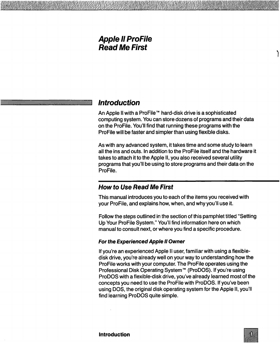# **Apple II ProFile Read Me First**

# $'$ Introduction

An Apple II with a ProFile <sup>IM</sup> hard-disk drive is a sophisticated computing system. You can store dozens of programs and their data on the ProFile. You'll find that running these programs with the ProFile will be faster and simpler than using flexible disks.

As with any advanced system, it takes time and some study to learn all the ins and outs. In addition to the ProFile itself and the hardware it takes to attach it to the Apple II, you also received several utility programs that you'll be using to store programs and their data on the ProFile.

# **How to Use Read Me First**

This manual introduces you to each of the items you received with your ProFile, and explains how, when, and why you'll use it.

Follow the steps outlined in the section of this pamphlet titled "Setting Up Your ProFile System." You'll find information here on which manual to consult next, or where you find a specific procedure.

#### **For the Experienced Apple II Owner**

If you're an experienced Apple II user, familiar with using a flexibledisk drive, you're already well on your way to understanding how the ProFile works with your computer. The ProFile operates using the Professional Disk Operating System<sup>TM</sup> (ProDOS). If you're using ProDOS with a flexible-disk drive, you've already learned most of the concepts you need to use the ProFile with ProDOS. If you've been using DOS, the original disk operating system for the Apple II, you'll find learning ProDOS quite simple.



)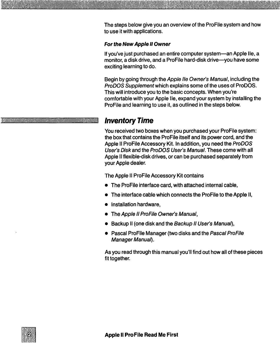The steps below give you an overview of the ProFile system and how to use it with applications.

#### For the New Apple II Owner

If you've just purchased an entire computer system-an Apple IIe, a monitor, a disk drive, and a ProFile hard-disk drive-you have some exciting learning to do.

Begin by going through the Apple 1/e Owner's Manual, including the ProDOS Supplement which explains some of the uses of ProDOS. This will introduce you to the basic concepts. When you're comfortable with your Apple lie, expand your system by installing the ProFile and learning to use it, as outlined in the steps below. comfortable with your<br>ProFile and learning to<br>**Inventory Time** 

You received two boxes when you purchased your ProFile system: the box that contains the ProFile itself and its power cord, and the Apple II ProFile Accessory Kit. In addition, you need the ProDOS User's Disk and the ProDOS User's Manual. These come with all Apple II flexible-disk drives, or can be purchased separately from your Apple dealer.

The Apple II ProFile Accessory Kit contains

- The ProFile interface card, with attached internal cable,
- The interface cable which connects the ProFile to the Apple II,
- Installation hardware,
- The Apple II ProFile Owner's Manual,
- Backup II (one disk and the Backup II User's Manual),
- Pascal ProFile Manager (two disks and the Pascal ProFile Manager Manual).

As you read through this manual you'll find out how all of these pieces fit together.

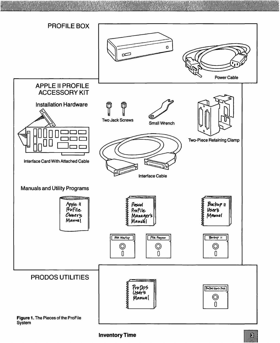

群務

#### Inventory Time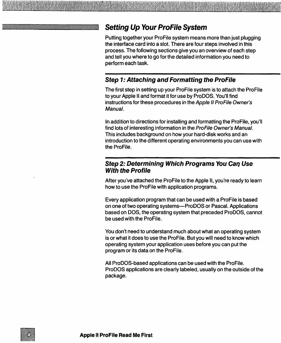# **Setting Up Your ProFile System**

Putting together your ProFile system means more than just plugging the interface card into a slot. There are four steps involved in this process. The following sections give you an overview of each step and tell you where to go for the detailed information you need to perform each task.

## **Step 1: Attaching and Formatting the ProFile**

The first step in setting up your ProFile system is to attach the ProFile to your Apple II and format it for use by ProDOS. You'll find instructions for these procedures in the Apple II ProFile Owner's Manual.

In addition to directions for installing and formatting the ProFile, you'll find lots of interesting information in the ProFile Owner's Manual. This includes background on how your hard-disk works and an introduction to the different operating environments you can use with the ProFile.

### **Step 2: Determining Which Programs You Can Use With the Profile**

After you've attached the ProFile to the Apple II, you're ready to learn how to use the ProFile with application programs.

Every application program that can be used with a ProFile is based on one of two operating systems-ProDOS or Pascal. Applications based on DOS, the operating system that preceded ProDOS, cannot be used with the ProFile.

You don't need to understand much about what an operating system is or what it does to use the ProFile. But you will need to know which operating system your application uses before you can put the program or its data on the ProFile.

All ProDOS-based applications can be used with the ProFile. ProDOS applications are clearly labeled, usually on the outside of the package.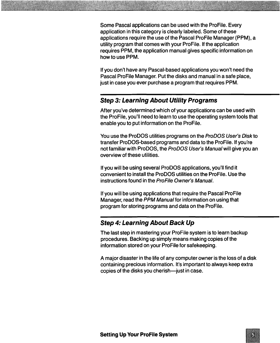Some Pascal applications can be used with the ProFile. Every application in this category is clearly labeled. Some of these applications require the use of the Pascal ProFile Manager (PPM), a utility program that comes with your ProFile. If the application requires PPM, the application manual gives specific information on how to use PPM.

If you don't have any Pascal-based applications you won't need the Pascal ProFile Manager. Put the disks and manual in a safe place, just in case you ever purchase a program that requires PPM.

## Step 3: Learning About Utility Programs

After you've determined which of your applications can be used with the ProFile, you'll need to learn to use the operating system tools that enable you to put information on the ProFile.

You use the ProDOS utilities programs on the ProDOS User's Disk to transfer ProDOS-based programs and data to the ProFile. If you're not familiar with ProDOS, the ProDOS User's Manual will give you an overview of these utilities.

If you will be using several ProDOS applications, you'll find it convenient to install the Pro DOS utilities on the ProFile. Use the instructions found in the ProFile Owner's Manual.

If you will be using applications that require the Pascal ProFile Manager, read the PPM Manual for information on using that program for storing programs and data on the ProFile.

# Step 4: Learning About Back Up

The last step in mastering your ProFile system is to learn backup procedures. Backing up simply means making copies of the information stored on your ProFile for safekeeping.

A major disaster in the life of any computer owner is the loss of a disk containing precious information. It's important to always keep extra copies of the disks you cherish-just in case.

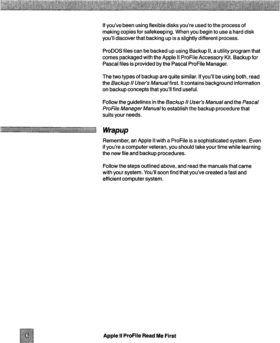If you've been using flexible disks you're used to the process of making copies for safekeeping. When you begin to use a hard disk you'll discover that backing up is a slightly different process.

ProDOS files can be backed up using Backup II, a utility program that comes packaged with the Apple II ProFile Accessory Kit. Backup for Pascal files is provided by the Pascal ProFile Manager.

The two types of backup are quite similar. If you'll be using both, read the Backup II User's Manual first. It contains background information on backup concepts that you'll find useful.

Follow the guidelines in the Backup II User's Manual and the Pascal ProFile Manager Manual to establish the backup procedure that suits your needs.

# **Wrapup**

Remember, an Apple II with a ProFile is a sophisticated system. Even if you're a computer veteran, you should take your time while learning the new file and backup procedures.

Follow the steps outlined above, and read the manuals that came with your system. You'll soon find that you've created a fast and efficient computer system.